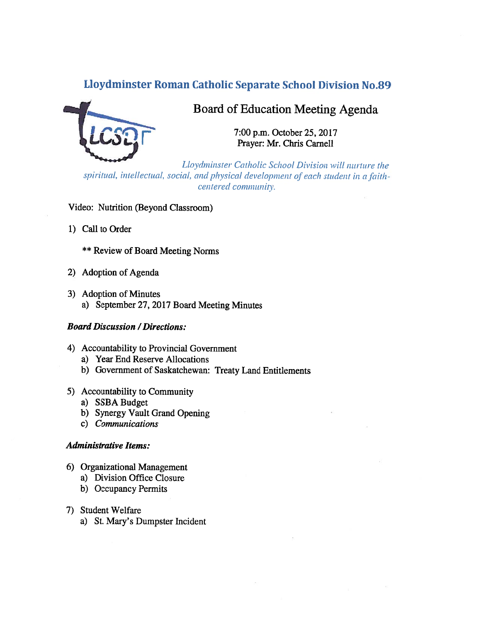# Lloydminster Roman Catholic Separate School DivIsion No.89



# Board of Education Meeting Agenda

7:00 p.m. October 25, 2017<br>Prayer: Mr. Chris Carnell

Lloydminster Catholic School Division will nurture the spiritual, intellectual, social, and physical development of each student in a faithcentered community.

# Video: Nutrition (Beyond Classroom)

1) Call to Order

\*\* Review of Board Meeting Norms

- 2) Adoption of Agenda
- 3) Adoption of Minutes a) September 27, 2017 Board Meeting Minutes

## Board Discussion /Directions:

- 4) Accountability to Provincial Government
	- a) Year End Reserve Allocations
	- b) Government of Saskatchewan: Treaty Land Entitlements
- 5) Accountability to Community
	- a) SSBA Budget
	- b) Synergy Vault Grand Opening
	- c) Communications

#### Administrative Items:

- 6) Organizational Management
	- a) Division Office Closure
	- b) Occupancy Permits
- 7) Student Welfare
	- a) St. Mary's Dumpster incident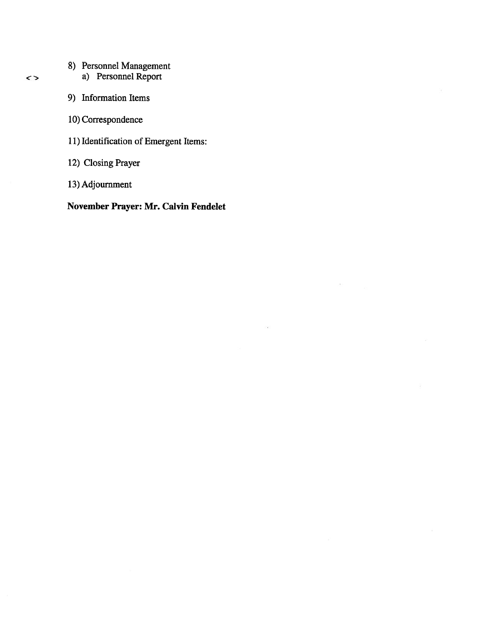- 8) Personnel Management
	- a) Personnel Report
- 9) Information Items
- 10) Correspondence
- 11) Identification of Emergent Items:
- 12) Closing Prayer
- 13) Adjournment

November Prayer: Mr. Calvin Fendelet

 $\left( \frac{1}{2} \right)$ 

n.

 $\leq$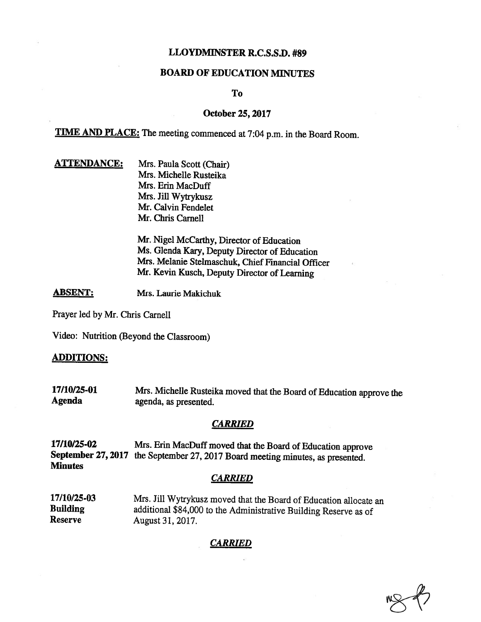# LLOYDMINSTER R.C.S.S.D. #89

#### BOARD OF EDUCATION MINUTES

#### To

#### October 25, 2017

TIME AND PLACE: The meeting commenced at 7:04 p.m. in the Board Room.

**ATTENDANCE:** Mrs. Paula Scott (Chair) Mrs. Michelle Rusteika Mrs. Erin MacDuff Mrs. Jill Wytrykusz Mr. Calvin Fendelet Mr. Chris Camell

> Mr. Nigel McCarthy, Director of Education Ms. Glenda Kary, Deputy Director of Education Mrs. Melanie Stelmaschuk, Chief Financial Officer Mr. Kevin Kusch, Deputy Director of Learning

ABSENT: Mrs. Laurie Makichuk

Prayer led by Mr. Chris Carnell

Video: Nutrition (Beyond the Classroom)

#### ADDITIONS:

17/10/25-01 Mrs. Michelle Rusteika moved that the Board of Education approve the Agenda agenda, as presented.

#### **CARRIED**

17/10/25-02 Mrs. Erin MacDuff moved that the Board of Education approve September 27, <sup>2017</sup> the September 27, <sup>2017</sup> Board meeting minutes, as presented. Minutes

#### **CARRIED**

17/10125-03 Mrs. Jill Wytrykusz moved that the Board of Education allocate an Building<br>
additional \$84,000 to the Administrative Building Reserve as of<br>
Reserve August 31 2017 August 31, 2017.

## CARRIED